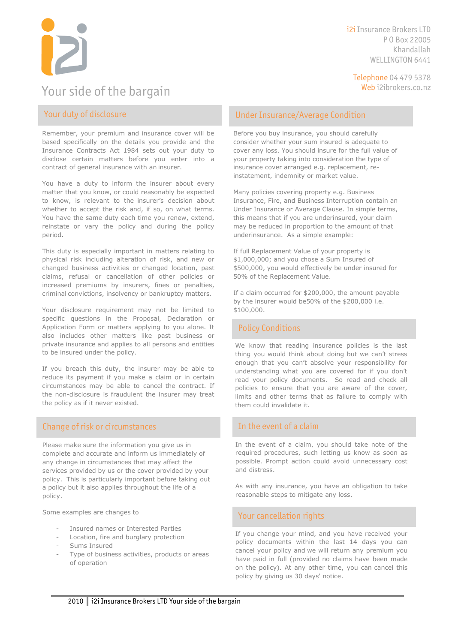Your side of the bargain

i2i Insurance Brokers LTD P O Box 22005 Khandallah WELLINGTON 6441

Telephone 04 479 5378

# Your duty of disclosure

Remember, your premium and insurance cover will be based specifically on the details you provide and the Insurance Contracts Act 1984 sets out your duty to disclose certain matters before you enter into a contract of general insurance with an insurer.

You have a duty to inform the insurer about every matter that you know, or could reasonably be expected to know, is relevant to the insurer's decision about whether to accept the risk and, if so, on what terms. You have the same duty each time you renew, extend, reinstate or vary the policy and during the policy period.

This duty is especially important in matters relating to physical risk including alteration of risk, and new or changed business activities or changed location, past claims, refusal or cancellation of other policies or increased premiums by insurers, fines or penalties, criminal convictions, insolvency or bankruptcy matters.

Your disclosure requirement may not be limited to specific questions in the Proposal, Declaration or Application Form or matters applying to you alone. It also includes other matters like past business or private insurance and applies to all persons and entities to be insured under the policy.

If you breach this duty, the insurer may be able to reduce its payment if you make a claim or in certain circumstances may be able to cancel the contract. If the non-disclosure is fraudulent the insurer may treat the policy as if it never existed.

#### Change of risk or circumstances

Please make sure the information you give us in complete and accurate and inform us immediately of any change in circumstances that may affect the services provided by us or the cover provided by your policy. This is particularly important before taking out a policy but it also applies throughout the life of a policy.

Some examples are changes to

- Insured names or Interested Parties
- Location, fire and burglary protection
- Sums Insured
- Type of business activities, products or areas of operation

#### Under Insurance/Average Condition

Before you buy insurance, you should carefully consider whether your sum insured is adequate to cover any loss. You should insure for the full value of your property taking into consideration the type of insurance cover arranged e.g. replacement, reinstatement, indemnity or market value.

Many policies covering property e.g. Business Insurance, Fire, and Business Interruption contain an Under Insurance or Average Clause. In simple terms, this means that if you are underinsured, your claim may be reduced in proportion to the amount of that underinsurance. As a simple example:

If full Replacement Value of your property is \$1,000,000; and you chose a Sum Insured of \$500,000, you would effectively be under insured for 50% of the Replacement Value.

If a claim occurred for \$200,000, the amount payable by the insurer would be50% of the \$200,000 i.e. \$100,000.

#### Policy Conditions

We know that reading insurance policies is the last thing you would think about doing but we can't stress enough that you can't absolve your responsibility for understanding what you are covered for if you don't read your policy documents. So read and check all policies to ensure that you are aware of the cover, limits and other terms that as failure to comply with them could invalidate it.

#### In the event of a claim

In the event of a claim, you should take note of the required procedures, such letting us know as soon as possible. Prompt action could avoid unnecessary cost and distress.

As with any insurance, you have an obligation to take reasonable steps to mitigate any loss.

#### Your cancellation rights

If you change your mind, and you have received your policy documents within the last 14 days you can cancel your policy and we will return any premium you have paid in full (provided no claims have been made on the policy). At any other time, you can cancel this policy by giving us 30 days' notice.